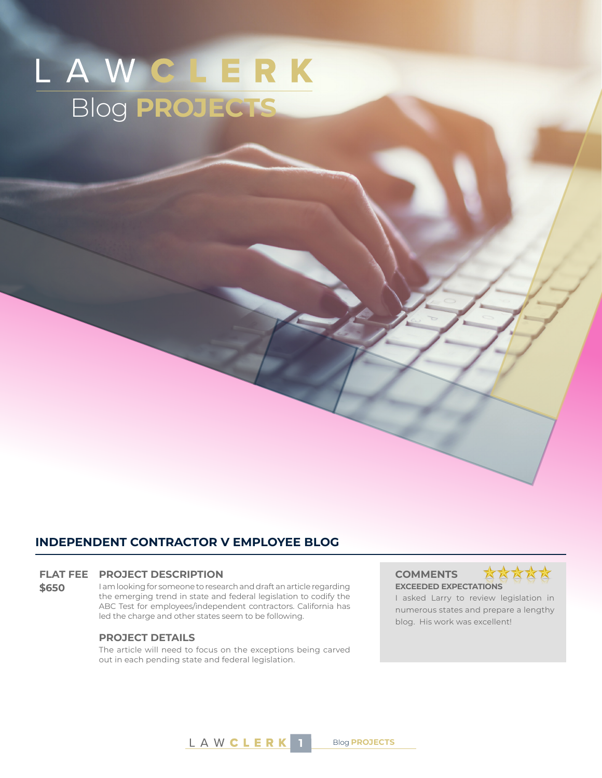# LAWCLERK Blog **PROJECTS**

### **INDEPENDENT CONTRACTOR V EMPLOYEE BLOG**

#### **FLAT FEE PROJECT DESCRIPTION COMMENTS**

**\$650** I am looking for someone to research and draft an article regarding the emerging trend in state and federal legislation to codify the ABC Test for employees/independent contractors. California has led the charge and other states seem to be following.

#### **PROJECT DETAILS**

The article will need to focus on the exceptions being carved out in each pending state and federal legislation.

## **EXCEEDED EXPECTATIONS**



I asked Larry to review legislation in numerous states and prepare a lengthy blog. His work was excellent!



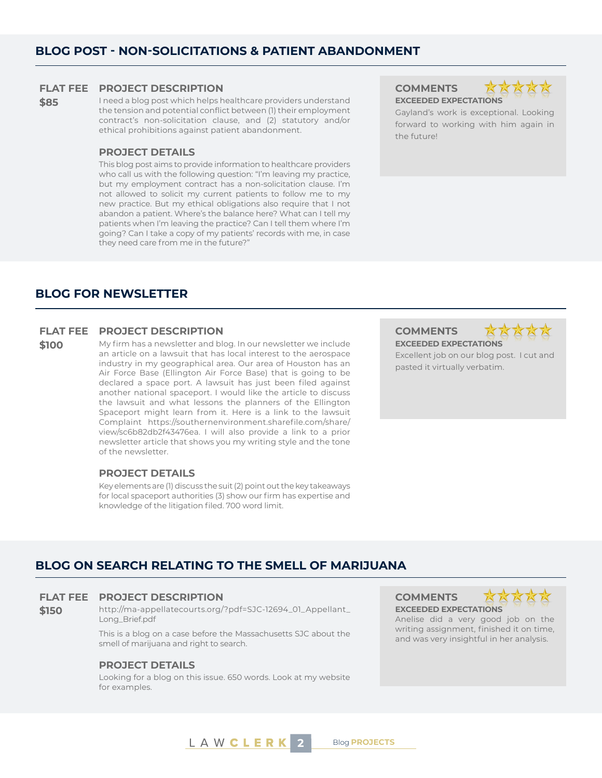#### **FLAT FEE PROJECT DESCRIPTION COMMENTS**

**\$85** I need a blog post which helps healthcare providers understand the tension and potential conflict between (1) their employment contract's non-solicitation clause, and (2) statutory and/or ethical prohibitions against patient abandonment.

#### **PROJECT DETAILS**

This blog post aims to provide information to healthcare providers who call us with the following question: "I'm leaving my practice, but my employment contract has a non-solicitation clause. I'm not allowed to solicit my current patients to follow me to my new practice. But my ethical obligations also require that I not abandon a patient. Where's the balance here? What can I tell my patients when I'm leaving the practice? Can I tell them where I'm going? Can I take a copy of my patients' records with me, in case they need care from me in the future?"

**EXCEEDED EXPECTATIONS**



Gayland's work is exceptional. Looking forward to working with him again in the future!

#### **BLOG FOR NEWSLETTER**

#### **FLAT FEE PROJECT DESCRIPTION COMMENTS**

**\$100** My firm has a newsletter and blog. In our newsletter we include an article on a lawsuit that has local interest to the aerospace industry in my geographical area. Our area of Houston has an Air Force Base (Ellington Air Force Base) that is going to be declared a space port. A lawsuit has just been filed against another national spaceport. I would like the article to discuss the lawsuit and what lessons the planners of the Ellington Spaceport might learn from it. Here is a link to the lawsuit Complaint https://southernenvironment.sharefile.com/share/ view/sc6b82db2f43476ea. I will also provide a link to a prior newsletter article that shows you my writing style and the tone of the newsletter.

#### **PROJECT DETAILS**

Key elements are (1) discuss the suit (2) point out the key takeaways for local spaceport authorities (3) show our firm has expertise and knowledge of the litigation filed. 700 word limit.

**EXCEEDED EXPECTATIONS**



Excellent job on our blog post. I cut and pasted it virtually verbatim.

### **BLOG ON SEARCH RELATING TO THE SMELL OF MARIJUANA**

#### **FLAT FEE PROJECT DESCRIPTION COMMENTS**

**\$150** http://ma-appellatecourts.org/?pdf=SJC-12694\_01\_Appellant\_ Long\_Brief.pdf

> This is a blog on a case before the Massachusetts SJC about the smell of marijuana and right to search.

#### **PROJECT DETAILS**

Looking for a blog on this issue. 650 words. Look at my website for examples.

**EXCEEDED EXPECTATIONS**



Anelise did a very good job on the writing assignment, finished it on time, and was very insightful in her analysis.

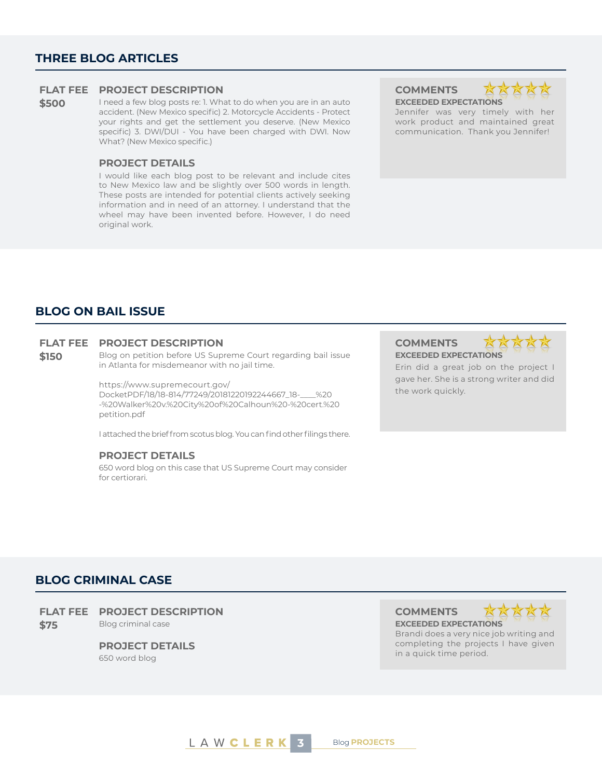#### **THREE BLOG ARTICLES**

#### **FLAT FEE PROJECT DESCRIPTION COMMENTS**

**\$500** I need a few blog posts re: 1. What to do when you are in an auto accident. (New Mexico specific) 2. Motorcycle Accidents - Protect your rights and get the settlement you deserve. (New Mexico specific) 3. DWI/DUI - You have been charged with DWI. Now What? (New Mexico specific.)

#### **PROJECT DETAILS**

I would like each blog post to be relevant and include cites to New Mexico law and be slightly over 500 words in length. These posts are intended for potential clients actively seeking information and in need of an attorney. I understand that the wheel may have been invented before. However, I do need original work.

**EXCEEDED EXPECTATIONS**

Jennifer was very timely with her work product and maintained great communication. Thank you Jennifer!

#### **BLOG ON BAIL ISSUE**

#### **FLAT FEE PROJECT DESCRIPTION COMMENTS**

**\$150** Blog on petition before US Supreme Court regarding bail issue in Atlanta for misdemeanor with no jail time.

> https://www.supremecourt.gov/ DocketPDF/18/18-814/77249/20181220192244667\_18-\_\_\_\_%20 -%20Walker%20v.%20City%20of%20Calhoun%20-%20cert.%20 petition.pdf

I attached the brief from scotus blog. You can find other filings there.

#### **PROJECT DETAILS**

650 word blog on this case that US Supreme Court may consider for certiorari.

## **EXCEEDED EXPECTATIONS**



Erin did a great job on the project I gave her. She is a strong writer and did the work quickly.

#### **BLOG CRIMINAL CASE**

**FLAT FEE PROJECT DESCRIPTION COMMENTS \$75** Blog criminal case **EXCEEDED EXPECTATIONS**

**PROJECT DETAILS**

650 word blog



Brandi does a very nice job writing and completing the projects I have given in a quick time period.

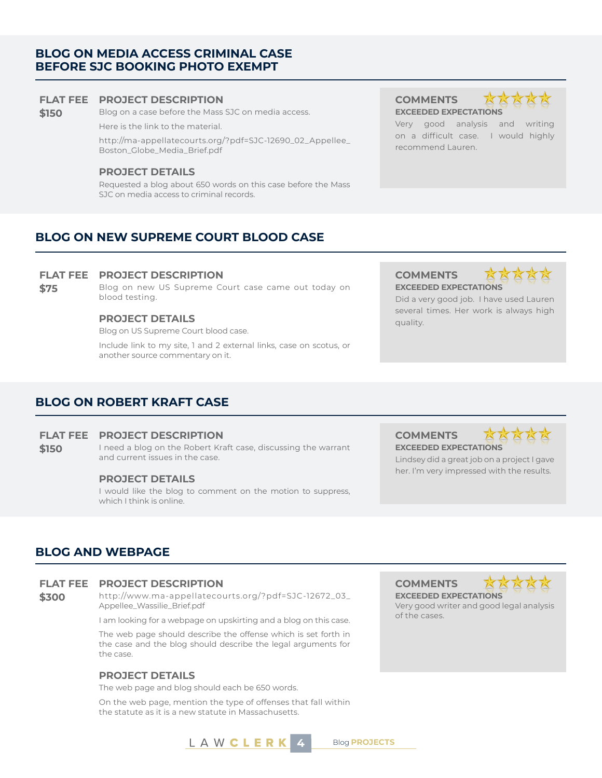#### **BLOG ON MEDIA ACCESS CRIMINAL CASE BEFORE SJC BOOKING PHOTO EXEMPT**

#### **FLAT FEE PROJECT DESCRIPTION COMMENTS**

**\$150** Blog on a case before the Mass SJC on media access.

Here is the link to the material.

http://ma-appellatecourts.org/?pdf=SJC-12690\_02\_Appellee\_ Boston\_Globe\_Media\_Brief.pdf

#### **PROJECT DETAILS**

Requested a blog about 650 words on this case before the Mass SJC on media access to criminal records.

**EXCEEDED EXPECTATIONS** Very good analysis and writing on a difficult case. I would highly

recommend Lauren.

### **BLOG ON NEW SUPREME COURT BLOOD CASE**

#### **FLAT FEE PROJECT DESCRIPTION COMMENTS**

**\$75** Blog on new US Supreme Court case came out today on blood testing.

#### **PROJECT DETAILS** quality.

Blog on US Supreme Court blood case.

Include link to my site, 1 and 2 external links, case on scotus, or another source commentary on it.

## **EXCEEDED EXPECTATIONS**



XXXXX

Did a very good job. I have used Lauren several times. Her work is always high

### **BLOG ON ROBERT KRAFT CASE**

#### **FLAT FEE PROJECT DESCRIPTION COMMENTS**

**\$150** I need a blog on the Robert Kraft case, discussing the warrant and current issues in the case.

#### **PROJECT DETAILS**

I would like the blog to comment on the motion to suppress, which I think is online.

**EXCEEDED EXPECTATIONS**



Lindsey did a great job on a project I gave her. I'm very impressed with the results.

#### **BLOG AND WEBPAGE**

#### **FLAT FEE PROJECT DESCRIPTION COMMENTS**

**\$300** http://www.ma-appellatecourts.org/?pdf=SJC-12672\_03\_ Appellee\_Wassilie\_Brief.pdf

I am looking for a webpage on upskirting and a blog on this case.

The web page should describe the offense which is set forth in the case and the blog should describe the legal arguments for the case.

#### **PROJECT DETAILS**

The web page and blog should each be 650 words.

On the web page, mention the type of offenses that fall within the statute as it is a new statute in Massachusetts.







Very good writer and good legal analysis of the cases.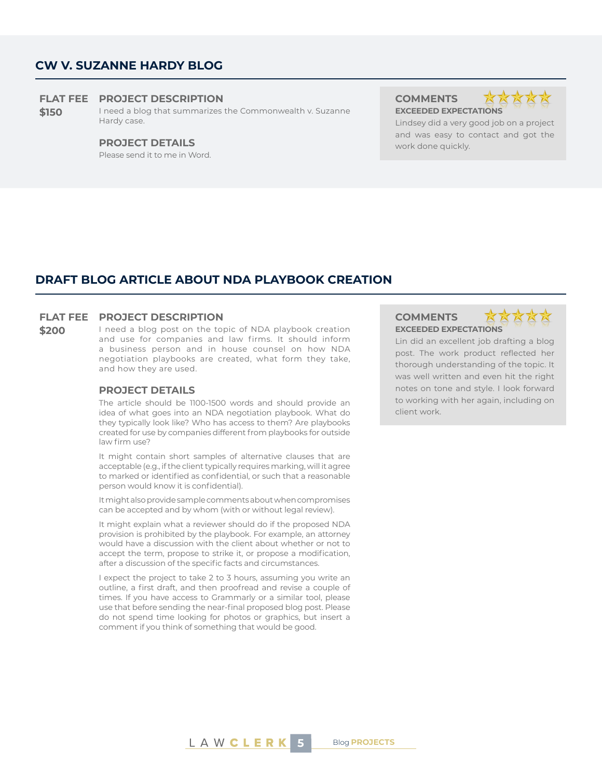#### **CW V. SUZANNE HARDY BLOG**

#### **FLAT FEE PROJECT DESCRIPTION COMMENTS**

**\$150** I need a blog that summarizes the Commonwealth v. Suzanne Hardy case.

Please send it to me in Word.

**EXCEEDED EXPECTATIONS**



Lindsey did a very good job on a project and was easy to contact and got the **PROJECT DETAILS** work done quickly.

#### **DRAFT BLOG ARTICLE ABOUT NDA PLAYBOOK CREATION**

#### **FLAT FEE PROJECT DESCRIPTION COMMENTS**

**\$200** I need a blog post on the topic of NDA playbook creation and use for companies and law firms. It should inform a business person and in house counsel on how NDA negotiation playbooks are created, what form they take, and how they are used.

#### **PROJECT DETAILS**

The article should be 1100-1500 words and should provide an idea of what goes into an NDA negotiation playbook. What do they typically look like? Who has access to them? Are playbooks created for use by companies different from playbooks for outside law firm use?

It might contain short samples of alternative clauses that are acceptable (e.g., if the client typically requires marking, will it agree to marked or identified as confidential, or such that a reasonable person would know it is confidential).

It might also provide sample comments about when compromises can be accepted and by whom (with or without legal review).

It might explain what a reviewer should do if the proposed NDA provision is prohibited by the playbook. For example, an attorney would have a discussion with the client about whether or not to accept the term, propose to strike it, or propose a modification, after a discussion of the specific facts and circumstances.

I expect the project to take 2 to 3 hours, assuming you write an outline, a first draft, and then proofread and revise a couple of times. If you have access to Grammarly or a similar tool, please use that before sending the near-final proposed blog post. Please do not spend time looking for photos or graphics, but insert a comment if you think of something that would be good.

### **EXCEEDED EXPECTATIONS**



Lin did an excellent job drafting a blog post. The work product reflected her thorough understanding of the topic. It was well written and even hit the right notes on tone and style. I look forward to working with her again, including on client work.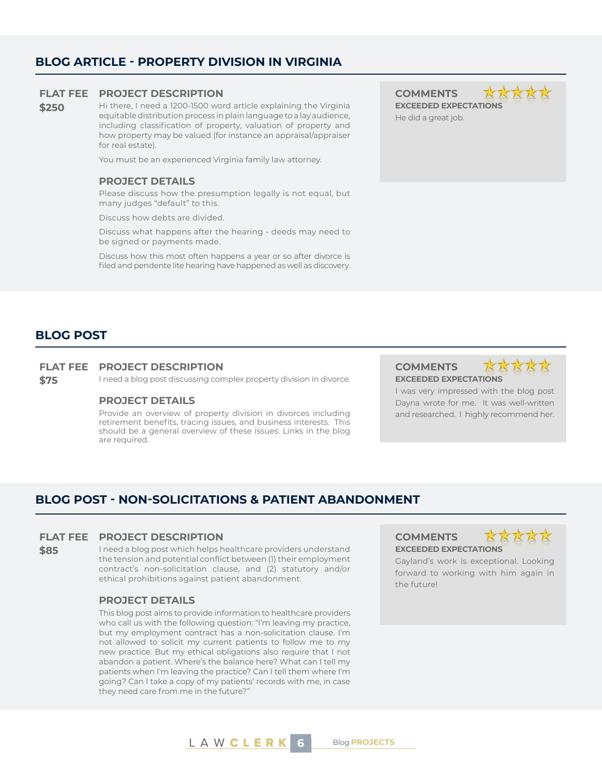#### **BLOG ARTICLE - PROPERTY DIVISION IN VIRGINIA**

#### **FLAT FEE PROJECT DESCRIPTION COMMENTS**

**\$250** Hi there, I need a 1200-1500 word article explaining the Virginia equitable distribution process in plain language to a lay audience, including classification of property, valuation of property and how property may be valued (for instance an appraisal/appraiser for real estate).

You must be an experienced Virginia family law attorney.

#### **PROJECT DETAILS**

Please discuss how the presumption legally is not equal, but many judges "default" to this.

Discuss how debts are divided.

Discuss what happens after the hearing - deeds may need to be signed or payments made.

Discuss how this most often happens a year or so after divorce is filed and pendente lite hearing have happened as well as discovery.

**EXCEEDED EXPECTATIONS** He did a great job.





I was very impressed with the blog post Dayna wrote for me. It was well-written and researched. I highly recommend her.

### **BLOG POST**

#### **FLAT FEE PROJECT DESCRIPTION COMMENTS**

**\$75** I need a blog post discussing complex property division in divorce. **EXCEEDED EXPECTATIONS**

#### **PROJECT DETAILS**

Provide an overview of property division in divorces including retirement benefits, tracing issues, and business interests. This should be a general overview of these issues. Links in the blog are required.

**BLOG POST - NON-SOLICITATIONS & PATIENT ABANDONMENT**

#### **FLAT FEE PROJECT DESCRIPTION COMMENTS**

**\$85** I need a blog post which helps healthcare providers understand the tension and potential conflict between (1) their employment contract's non-solicitation clause, and (2) statutory and/or ethical prohibitions against patient abandonment.

#### **PROJECT DETAILS**

This blog post aims to provide information to healthcare providers who call us with the following question: "I'm leaving my practice, but my employment contract has a non-solicitation clause. I'm not allowed to solicit my current patients to follow me to my new practice. But my ethical obligations also require that I not abandon a patient. Where's the balance here? What can I tell my patients when I'm leaving the practice? Can I tell them where I'm going? Can I take a copy of my patients' records with me, in case they need care from me in the future?"

## **EXCEEDED EXPECTATIONS**



Gayland's work is exceptional. Looking forward to working with him again in the future!

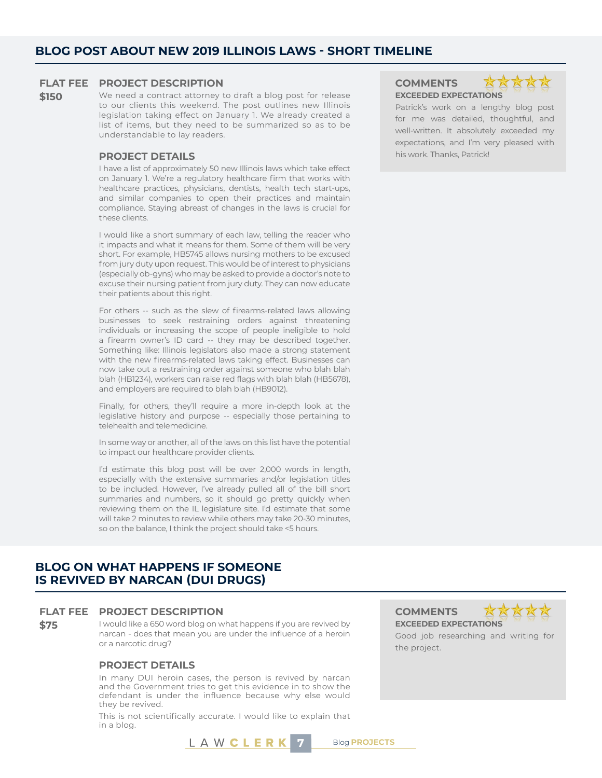#### **FLAT FEE PROJECT DESCRIPTION COMMENTS**

## **\$150** We need a contract attorney to draft a blog post for release

to our clients this weekend. The post outlines new Illinois legislation taking effect on January 1. We already created a list of items, but they need to be summarized so as to be understandable to lay readers.

I have a list of approximately 50 new Illinois laws which take effect on January 1. We're a regulatory healthcare firm that works with healthcare practices, physicians, dentists, health tech start-ups, and similar companies to open their practices and maintain compliance. Staying abreast of changes in the laws is crucial for these clients.

I would like a short summary of each law, telling the reader who it impacts and what it means for them. Some of them will be very short. For example, HB5745 allows nursing mothers to be excused from jury duty upon request. This would be of interest to physicians (especially ob-gyns) who may be asked to provide a doctor's note to excuse their nursing patient from jury duty. They can now educate their patients about this right.

For others -- such as the slew of firearms-related laws allowing businesses to seek restraining orders against threatening individuals or increasing the scope of people ineligible to hold a firearm owner's ID card -- they may be described together. Something like: Illinois legislators also made a strong statement with the new firearms-related laws taking effect. Businesses can now take out a restraining order against someone who blah blah blah (HB1234), workers can raise red flags with blah blah (HB5678), and employers are required to blah blah (HB9012).

Finally, for others, they'll require a more in-depth look at the legislative history and purpose -- especially those pertaining to telehealth and telemedicine.

In some way or another, all of the laws on this list have the potential to impact our healthcare provider clients.

I'd estimate this blog post will be over 2,000 words in length, especially with the extensive summaries and/or legislation titles to be included. However, I've already pulled all of the bill short summaries and numbers, so it should go pretty quickly when reviewing them on the IL legislature site. I'd estimate that some will take 2 minutes to review while others may take 20-30 minutes, so on the balance, I think the project should take <5 hours.

#### **BLOG ON WHAT HAPPENS IF SOMEONE IS REVIVED BY NARCAN (DUI DRUGS)**

#### **FLAT FEE PROJECT DESCRIPTION COMMENTS**

**\$75** I would like a 650 word blog on what happens if you are revived by narcan - does that mean you are under the influence of a heroin or a narcotic drug?

#### **PROJECT DETAILS**

In many DUI heroin cases, the person is revived by narcan and the Government tries to get this evidence in to show the defendant is under the influence because why else would they be revived.

This is not scientifically accurate. I would like to explain that in a blog.

L A W **C L E R K** 7 Blog **PROJECTS** 





Patrick's work on a lengthy blog post for me was detailed, thoughtful, and well-written. It absolutely exceeded my expectations, and I'm very pleased with **PROJECT DETAILS his work. Thanks, Patrick!** 

**EXCEEDED EXPECTATIONS**



Good job researching and writing for the project.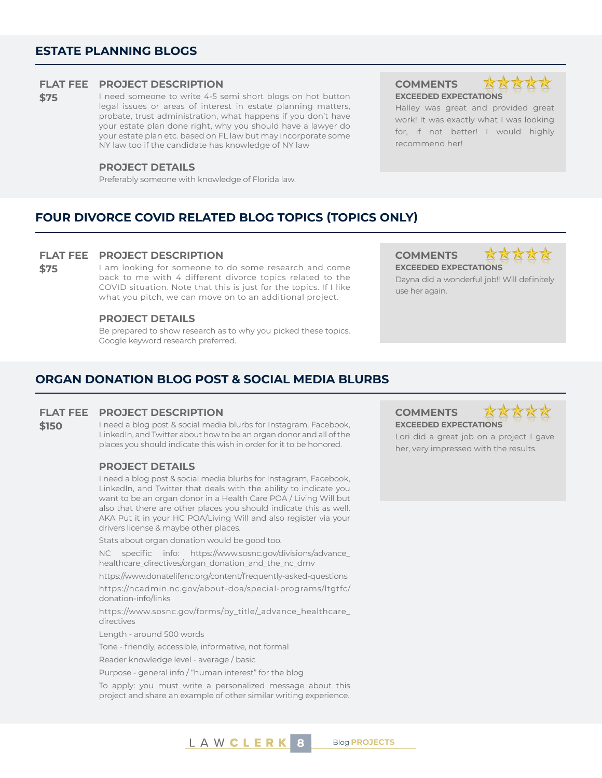#### **ESTATE PLANNING BLOGS**

#### **FLAT FEE PROJECT DESCRIPTION COMMENTS**

\$75 I need someone to write 4-5 semi short blogs on hot button legal issues or areas of interest in estate planning matters, probate, trust administration, what happens if you don't have your estate plan done right, why you should have a lawyer do your estate plan etc. based on FL law but may incorporate some NY law too if the candidate has knowledge of NY law

#### **PROJECT DETAILS**

Preferably someone with knowledge of Florida law.

## **EXCEEDED EXPECTATIONS**



Halley was great and provided great work! It was exactly what I was looking for, if not better! I would highly recommend her!

#### **FOUR DIVORCE COVID RELATED BLOG TOPICS (TOPICS ONLY)**

#### **FLAT FEE PROJECT DESCRIPTION COMMENTS**

**\$75** I am looking for someone to do some research and come back to me with 4 different divorce topics related to the COVID situation. Note that this is just for the topics. If I like what you pitch, we can move on to an additional project.

#### **PROJECT DETAILS**

Be prepared to show research as to why you picked these topics. Google keyword research preferred.

#### **ORGAN DONATION BLOG POST & SOCIAL MEDIA BLURBS**

#### **FLAT FEE PROJECT DESCRIPTION COMMENTS**

#### **\$150** I need a blog post & social media blurbs for Instagram, Facebook, LinkedIn, and Twitter about how to be an organ donor and all of the places you should indicate this wish in order for it to be honored.

#### **PROJECT DETAILS**

I need a blog post & social media blurbs for Instagram, Facebook, LinkedIn, and Twitter that deals with the ability to indicate you want to be an organ donor in a Health Care POA / Living Will but also that there are other places you should indicate this as well. AKA Put it in your HC POA/Living Will and also register via your drivers license & maybe other places.

Stats about organ donation would be good too.

NC specific info: https://www.sosnc.gov/divisions/advance\_ healthcare\_directives/organ\_donation\_and\_the\_nc\_dmv

https://www.donatelifenc.org/content/frequently-asked-questions

https://ncadmin.nc.gov/about-doa/special-programs/ltgtfc/ donation-info/links

https://www.sosnc.gov/forms/by\_title/\_advance\_healthcare\_ directives

Length - around 500 words

Tone - friendly, accessible, informative, not formal

Reader knowledge level - average / basic

Purpose - general info / "human interest" for the blog

To apply: you must write a personalized message about this project and share an example of other similar writing experience.

### use her again.

**EXCEEDED EXPECTATIONS**

Dayna did a wonderful job!! Will definitely





Lori did a great job on a project I gave her, very impressed with the results.